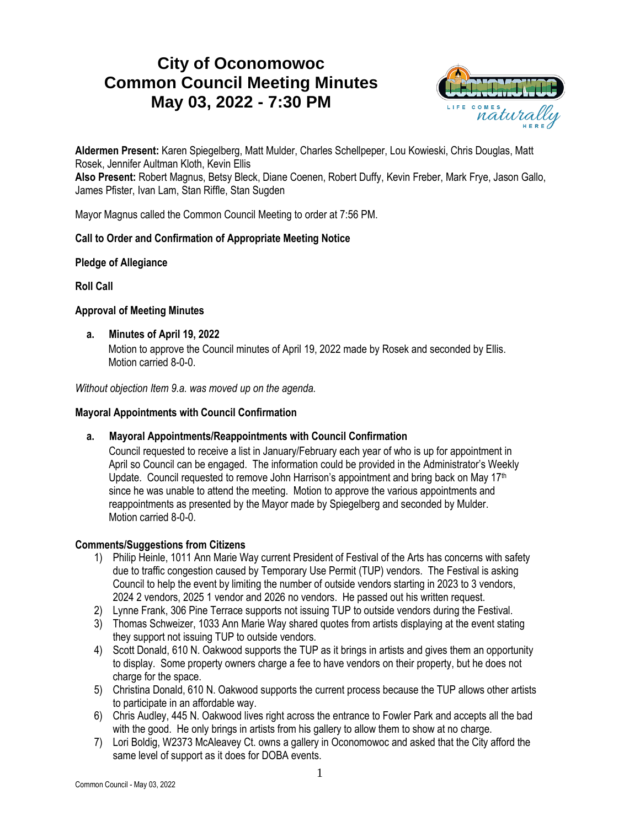# **City of Oconomowoc Common Council Meeting Minutes May 03, 2022 - 7:30 PM**



**Aldermen Present:** Karen Spiegelberg, Matt Mulder, Charles Schellpeper, Lou Kowieski, Chris Douglas, Matt Rosek, Jennifer Aultman Kloth, Kevin Ellis

**Also Present:** Robert Magnus, Betsy Bleck, Diane Coenen, Robert Duffy, Kevin Freber, Mark Frye, Jason Gallo, James Pfister, Ivan Lam, Stan Riffle, Stan Sugden

Mayor Magnus called the Common Council Meeting to order at 7:56 PM.

# **Call to Order and Confirmation of Appropriate Meeting Notice**

# **Pledge of Allegiance**

**Roll Call**

# **Approval of Meeting Minutes**

**a. Minutes of April 19, 2022**

Motion to approve the Council minutes of April 19, 2022 made by Rosek and seconded by Ellis. Motion carried 8-0-0.

*Without objection Item 9.a. was moved up on the agenda.*

# **Mayoral Appointments with Council Confirmation**

# **a. Mayoral Appointments/Reappointments with Council Confirmation**

Council requested to receive a list in January/February each year of who is up for appointment in April so Council can be engaged. The information could be provided in the Administrator's Weekly Update. Council requested to remove John Harrison's appointment and bring back on May  $17<sup>th</sup>$ since he was unable to attend the meeting. Motion to approve the various appointments and reappointments as presented by the Mayor made by Spiegelberg and seconded by Mulder. Motion carried 8-0-0.

# **Comments/Suggestions from Citizens**

- 1) Philip Heinle, 1011 Ann Marie Way current President of Festival of the Arts has concerns with safety due to traffic congestion caused by Temporary Use Permit (TUP) vendors. The Festival is asking Council to help the event by limiting the number of outside vendors starting in 2023 to 3 vendors, 2024 2 vendors, 2025 1 vendor and 2026 no vendors. He passed out his written request.
- 2) Lynne Frank, 306 Pine Terrace supports not issuing TUP to outside vendors during the Festival.
- 3) Thomas Schweizer, 1033 Ann Marie Way shared quotes from artists displaying at the event stating they support not issuing TUP to outside vendors.
- 4) Scott Donald, 610 N. Oakwood supports the TUP as it brings in artists and gives them an opportunity to display. Some property owners charge a fee to have vendors on their property, but he does not charge for the space.
- 5) Christina Donald, 610 N. Oakwood supports the current process because the TUP allows other artists to participate in an affordable way.
- 6) Chris Audley, 445 N. Oakwood lives right across the entrance to Fowler Park and accepts all the bad with the good. He only brings in artists from his gallery to allow them to show at no charge.
- 7) Lori Boldig, W2373 McAleavey Ct. owns a gallery in Oconomowoc and asked that the City afford the same level of support as it does for DOBA events.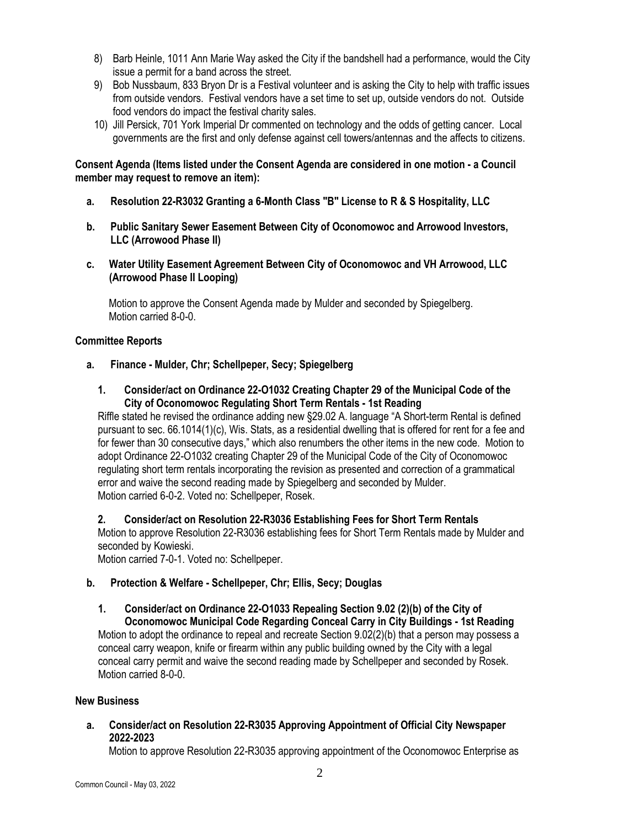- 8) Barb Heinle, 1011 Ann Marie Way asked the City if the bandshell had a performance, would the City issue a permit for a band across the street.
- 9) Bob Nussbaum, 833 Bryon Dr is a Festival volunteer and is asking the City to help with traffic issues from outside vendors. Festival vendors have a set time to set up, outside vendors do not. Outside food vendors do impact the festival charity sales.
- 10) Jill Persick, 701 York Imperial Dr commented on technology and the odds of getting cancer. Local governments are the first and only defense against cell towers/antennas and the affects to citizens.

#### **Consent Agenda (Items listed under the Consent Agenda are considered in one motion - a Council member may request to remove an item):**

- **a. Resolution 22-R3032 Granting a 6-Month Class "B" License to R & S Hospitality, LLC**
- **b. Public Sanitary Sewer Easement Between City of Oconomowoc and Arrowood Investors, LLC (Arrowood Phase II)**
- **c. Water Utility Easement Agreement Between City of Oconomowoc and VH Arrowood, LLC (Arrowood Phase II Looping)**

Motion to approve the Consent Agenda made by Mulder and seconded by Spiegelberg. Motion carried 8-0-0.

# **Committee Reports**

- **a. Finance - Mulder, Chr; Schellpeper, Secy; Spiegelberg**
	- **1. Consider/act on Ordinance 22-O1032 Creating Chapter 29 of the Municipal Code of the City of Oconomowoc Regulating Short Term Rentals - 1st Reading**

Riffle stated he revised the ordinance adding new §29.02 A. language "A Short-term Rental is defined pursuant to sec. 66.1014(1)(c), Wis. Stats, as a residential dwelling that is offered for rent for a fee and for fewer than 30 consecutive days," which also renumbers the other items in the new code. Motion to adopt Ordinance 22-O1032 creating Chapter 29 of the Municipal Code of the City of Oconomowoc regulating short term rentals incorporating the revision as presented and correction of a grammatical error and waive the second reading made by Spiegelberg and seconded by Mulder. Motion carried 6-0-2. Voted no: Schellpeper, Rosek.

#### **2. Consider/act on Resolution 22-R3036 Establishing Fees for Short Term Rentals**

Motion to approve Resolution 22-R3036 establishing fees for Short Term Rentals made by Mulder and seconded by Kowieski.

Motion carried 7-0-1. Voted no: Schellpeper.

#### **b. Protection & Welfare - Schellpeper, Chr; Ellis, Secy; Douglas**

**1. Consider/act on Ordinance 22-O1033 Repealing Section 9.02 (2)(b) of the City of Oconomowoc Municipal Code Regarding Conceal Carry in City Buildings - 1st Reading** Motion to adopt the ordinance to repeal and recreate Section 9.02(2)(b) that a person may possess a conceal carry weapon, knife or firearm within any public building owned by the City with a legal conceal carry permit and waive the second reading made by Schellpeper and seconded by Rosek. Motion carried 8-0-0.

#### **New Business**

**a. Consider/act on Resolution 22-R3035 Approving Appointment of Official City Newspaper 2022-2023**

Motion to approve Resolution 22-R3035 approving appointment of the Oconomowoc Enterprise as